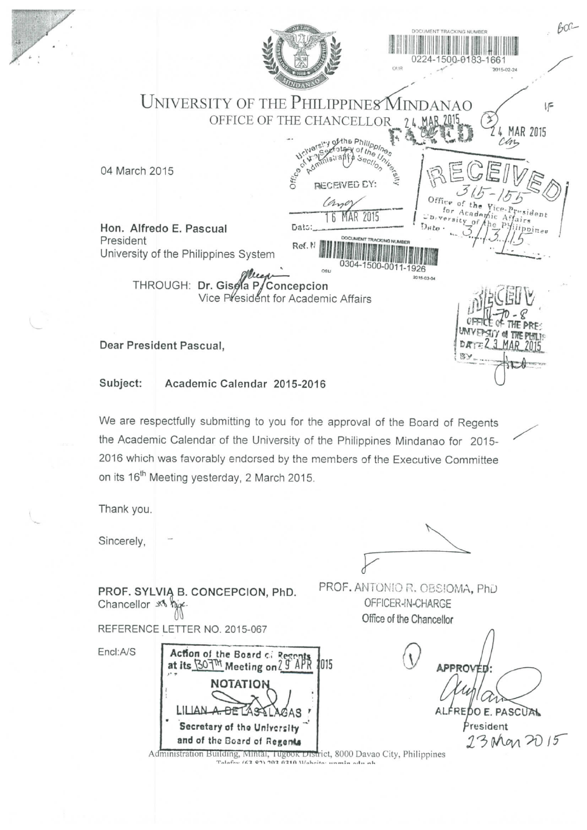| BOG<br><b>JMENT TRACKING NUMBER</b><br>$10 - 01$<br>OUR<br>2015-02-24                                                                                                                                                                                                                                                                                                   |
|-------------------------------------------------------------------------------------------------------------------------------------------------------------------------------------------------------------------------------------------------------------------------------------------------------------------------------------------------------------------------|
| UNIVERSITY OF THE PHILIPPINES<br><b>INDANAO</b><br>炉<br>OFFICE OF THE CHANCEI<br>MAR 2015                                                                                                                                                                                                                                                                               |
| of the Phillippines<br><b>Hritars</b><br>of the $U_r$<br>Office of<br>04 March 2015<br><b>RECEIVED EY:</b><br>Office                                                                                                                                                                                                                                                    |
| (and<br>for Academic Affairs<br>$r_{'sident}$<br><b>MAR 2015</b><br>Hon. Alfredo E. Pascual<br>Dats:<br>iippinee<br>President<br>DOCUMENT TRACKING NUMBER<br>Ref. N<br>University of the Philippines System                                                                                                                                                             |
| 0304-1500-0011-1926<br>OSU<br>2015-03-04<br>THROUGH: Dr. Gisela P/Concepcion<br>Vice President for Academic Affairs                                                                                                                                                                                                                                                     |
| DATE<br>Dear President Pascual,<br>スメ                                                                                                                                                                                                                                                                                                                                   |
| Subject:<br>Academic Calendar 2015-2016                                                                                                                                                                                                                                                                                                                                 |
| We are respectfully submitting to you for the approval of the Board of Regents                                                                                                                                                                                                                                                                                          |
| the Academic Calendar of the University of the Philippines Mindanao for 2015-<br>╱                                                                                                                                                                                                                                                                                      |
| 2016 which was favorably endorsed by the members of the Executive Committee                                                                                                                                                                                                                                                                                             |
| on its 16 <sup>th</sup> Meeting yesterday, 2 March 2015.                                                                                                                                                                                                                                                                                                                |
| Thank you.                                                                                                                                                                                                                                                                                                                                                              |
| Sincerely,                                                                                                                                                                                                                                                                                                                                                              |
| PROF. ANTONIO R. OBSIOMA, PhD<br>PROF. SYLVIA B. CONCEPCION, PhD.<br>OFFICER-IN-CHARGE<br>Chancellor x <sup>1</sup> high-                                                                                                                                                                                                                                               |
| REFERENCE LETTER NO. 2015-067                                                                                                                                                                                                                                                                                                                                           |
| Encl:A/S<br>Action of the Board of Regards<br>at its SOTM Meeting on 2 J APR<br>1015<br>APPROVED<br><b>NOTATION</b><br>ALFREDO E. PASCUAL<br>President<br>Secretary of the University<br>23 Mar 2015<br>and of the Board of Regents<br>Administration Building, Mintal, Tugook District, 8000 Davao City, Philippines<br>Talafoy (62.97) 702.0210 Wahrita: unmin adu ah |
| Office of the Chancellor                                                                                                                                                                                                                                                                                                                                                |